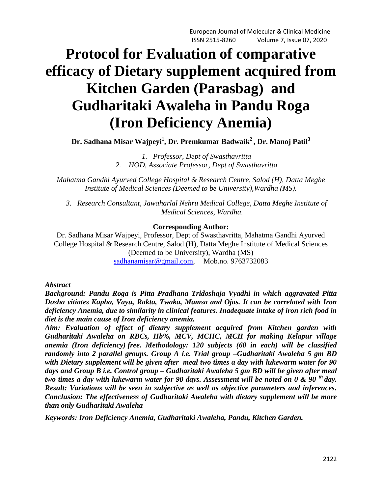# **Protocol for Evaluation of comparative efficacy of Dietary supplement acquired from Kitchen Garden (Parasbag) and Gudharitaki Awaleha in Pandu Roga (Iron Deficiency Anemia)**

**Dr. Sadhana Misar Wajpeyi<sup>1</sup> , Dr. Premkumar Badwaik<sup>2</sup> , Dr. Manoj Patil<sup>3</sup>**

*1. Professor, Dept of Swasthavritta 2. HOD, Associate Professor, Dept of Swasthavritta*

*Mahatma Gandhi Ayurved College Hospital & Research Centre, Salod (H), Datta Meghe Institute of Medical Sciences (Deemed to be University),Wardha (MS).*

*3. Research Consultant, Jawaharlal Nehru Medical College, Datta Meghe Institute of Medical Sciences, Wardha.*

## **Corresponding Author:**

Dr. Sadhana Misar Wajpeyi, Professor, Dept of Swasthavritta, Mahatma Gandhi Ayurved College Hospital & Research Centre, Salod (H), Datta Meghe Institute of Medical Sciences (Deemed to be University), Wardha (MS) [sadhanamisar@gmail.com,](mailto:sadhanamisar@gmail.com) Mob.no. 9763732083

## *Abstract*

*Background: Pandu Roga is Pitta Pradhana Tridoshaja Vyadhi in which aggravated Pitta Dosha vitiates Kapha, Vayu, Rakta, Twaka, Mamsa and Ojas. It can be correlated with Iron deficiency Anemia, due to similarity in clinical features. Inadequate intake of iron rich food in diet is the main cause of Iron deficiency anemia.* 

*Aim: Evaluation of effect of dietary supplement acquired from Kitchen garden with Gudharitaki Awaleha on RBCs, Hb%, MCV, MCHC, MCH for making Kelapur village anemia (Iron deficiency) free. Methodology: 120 subjects (60 in each) will be classified randomly into 2 parallel groups. Group A i.e. Trial group –Gudharitaki Awaleha 5 gm BD with Dietary supplement will be given after meal two times a day with lukewarm water for 90 days and Group B i.e. Control group – Gudharitaki Awaleha 5 gm BD will be given after meal two times a day with lukewarm water for 90 days. Assessment will be noted on 0 & 90 th day. Result: Variations will be seen in subjective as well as objective parameters and inferences. Conclusion: The effectiveness of Gudharitaki Awaleha with dietary supplement will be more than only Gudharitaki Awaleha* 

*Keywords: Iron Deficiency Anemia, Gudharitaki Awaleha, Pandu, Kitchen Garden.*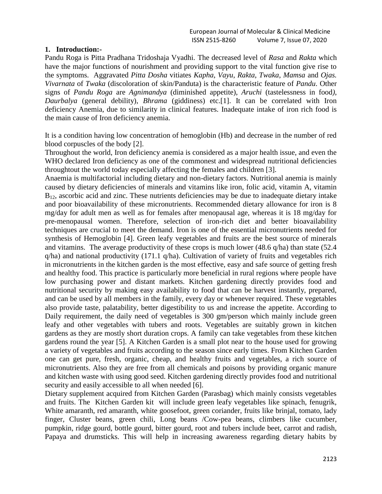#### **1. Introduction:-**

Pandu Roga is Pitta Pradhana Tridoshaja Vyadhi. The decreased level of *Rasa* and *Rakta* which have the major functions of nourishment and providing support to the vital function give rise to the symptoms. Aggravated *Pitta Dosha* vitiates *Kapha*, *Vayu*, *Rakta*, *Twaka*, *Mamsa* and *Ojas. Vivarnata* of *Twaka* (discoloration of skin/Panduta) is the characteristic feature of *Pandu*. Other signs of *Pandu Roga* are *Agnimandya* (diminished appetite), *Aruchi* (tastelessness in food*)*, *Daurbalya* (general debility), *Bhrama* (giddiness) etc.[1]. It can be correlated with Iron deficiency Anemia, due to similarity in clinical features. Inadequate intake of iron rich food is the main cause of Iron deficiency anemia.

It is a condition having low concentration of hemoglobin (Hb) and decrease in the number of red blood corpuscles of the body [2].

Throughout the world, Iron deficiency anemia is considered as a major health issue, and even the WHO declared Iron deficiency as one of the commonest and widespread nutritional deficiencies throughtout the world today especially affecting the females and children [3].

Anaemia is multifactorial including dietary and non-dietary factors. Nutritional anemia is mainly caused by dietary deficiencies of minerals and vitamins like iron, folic acid, vitamin A, vitamin  $B_{12}$ , ascorbic acid and zinc. These nutrients deficiencies may be due to inadequate dietary intake and poor bioavailability of these micronutrients. Recommended dietary allowance for iron is 8 mg/day for adult men as well as for females after menopausal age, whereas it is 18 mg/day for pre-menopausal women. Therefore, selection of iron-rich diet and better bioavailability techniques are crucial to meet the demand. Iron is one of the essential micronutrients needed for synthesis of Hemoglobin [4]. Green leafy vegetables and fruits are the best source of minerals and vitamins. The average productivity of these crops is much lower (48.6 q/ha) than state (52.4 q/ha) and national productivity (171.1 q/ha). Cultivation of variety of fruits and vegetables rich in micronutrients in the kitchen garden is the most effective, easy and safe source of getting fresh and healthy food. This practice is particularly more beneficial in rural regions where people have low purchasing power and distant markets. Kitchen gardening directly provides food and nutritional security by making easy availability to food that can be harvest instantly, prepared, and can be used by all members in the family, every day or whenever required. These vegetables also provide taste, palatability, better digestibility to us and increase the appetite. According to Daily requirement, the daily need of vegetables is 300 gm/person which mainly include green leafy and other vegetables with tubers and roots. Vegetables are suitably grown in kitchen gardens as they are mostly short duration crops. A family can take vegetables from these kitchen gardens round the year [5]. A Kitchen Garden is a small plot near to the house used for growing a variety of vegetables and fruits according to the season since early times. From Kitchen Garden one can get pure, fresh, organic, cheap, and healthy fruits and vegetables, a rich source of micronutrients. Also they are free from all chemicals and poisons by providing organic manure and kitchen waste with using good seed. Kitchen gardening directly provides food and nutritional security and easily accessible to all when needed [6].

Dietary supplement acquired from Kitchen Garden (Parasbag) which mainly consists vegetables and fruits. The Kitchen Garden kit will include green leafy vegetables like spinach, fenugrik, White amaranth, red amaranth, white goosefoot, green coriander, fruits like brinjal, tomato, lady finger, Cluster beans*,* green chili, Long beans /Cow-pea beans, climbers like cucumber, pumpkin, ridge gourd, bottle gourd, bitter gourd, root and tubers include beet, carrot and radish, Papaya and drumsticks. This will help in increasing awareness regarding dietary habits by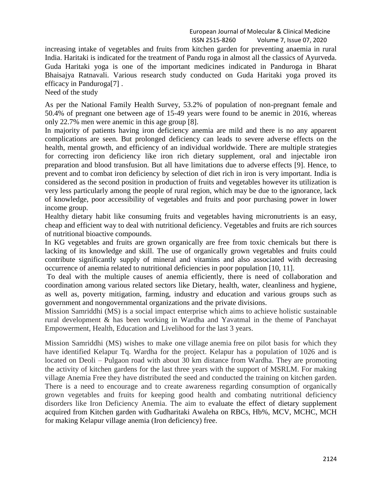European Journal of Molecular & Clinical Medicine ISSN 2515-8260 Volume 7, Issue 07, 2020

increasing intake of vegetables and fruits from kitchen garden for preventing anaemia in rural India. Haritaki is indicated for the treatment of Pandu roga in almost all the classics of Ayurveda. Guda Haritaki yoga is one of the important medicines indicated in Panduroga in Bharat Bhaisajya Ratnavali. Various research study conducted on Guda Haritaki yoga proved its efficacy in Panduroga[7] .

Need of the study

As per the National Family Health Survey, 53.2% of population of non-pregnant female and 50.4% of pregnant one between age of 15-49 years were found to be anemic in 2016, whereas only 22.7% men were anemic in this age group [8].

In majority of patients having iron deficiency anemia are mild and there is no any apparent complications are seen. But prolonged deficiency can leads to severe adverse effects on the health, mental growth, and efficiency of an individual worldwide. There are multiple strategies for correcting iron deficiency like iron rich dietary supplement, oral and injectable iron preparation and blood transfusion. But all have limitations due to adverse effects [9]. Hence, to prevent and to combat iron deficiency by selection of diet rich in iron is very important. India is considered as the second position in production of fruits and vegetables however its utilization is very less particularly among the people of rural region, which may be due to the ignorance, lack of knowledge, poor accessibility of vegetables and fruits and poor purchasing power in lower income group.

Healthy dietary habit like consuming fruits and vegetables having micronutrients is an easy, cheap and efficient way to deal with nutritional deficiency. Vegetables and fruits are rich sources of nutritional bioactive compounds.

In KG vegetables and fruits are grown organically are free from toxic chemicals but there is lacking of its knowledge and skill. The use of organically grown vegetables and fruits could contribute significantly supply of mineral and vitamins and also associated with decreasing occurrence of anemia related to nutritional deficiencies in poor population [10, 11].

To deal with the multiple causes of anemia efficiently, there is need of collaboration and coordination among various related sectors like Dietary, health, water, cleanliness and hygiene, as well as, poverty mitigation, farming, industry and education and various groups such as government and nongovernmental organizations and the private divisions.

Mission Samriddhi (MS) is a social impact enterprise which aims to achieve holistic sustainable rural development & has been working in Wardha and Yavatmal in the theme of Panchayat Empowerment, Health, Education and Livelihood for the last 3 years.

Mission Samriddhi (MS) wishes to make one village anemia free on pilot basis for which they have identified Kelapur Tq. Wardha for the project. Kelapur has a population of 1026 and is located on Deoli – Pulgaon road with about 30 km distance from Wardha. They are promoting the activity of kitchen gardens for the last three years with the support of MSRLM. For making village Anemia Free they have distributed the seed and conducted the training on kitchen garden. There is a need to encourage and to create awareness regarding consumption of organically grown vegetables and fruits for keeping good health and combating nutritional deficiency disorders like Iron Deficiency Anemia. The aim to evaluate the effect of dietary supplement acquired from Kitchen garden with Gudharitaki Awaleha on RBCs, Hb%, MCV, MCHC, MCH for making Kelapur village anemia (Iron deficiency) free.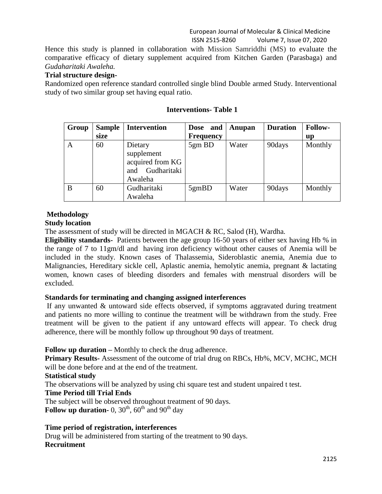European Journal of Molecular & Clinical Medicine ISSN 2515-8260 Volume 7, Issue 07, 2020

Hence this study is planned in collaboration with Mission Samriddhi (MS) to evaluate the comparative efficacy of dietary supplement acquired from Kitchen Garden (Parasbaga) and *Gudaharitaki Awaleha.*

#### **Trial structure design-**

Randomized open reference standard controlled single blind Double armed Study. Interventional study of two similar group set having equal ratio.

| Group | <b>Sample</b> | <b>Intervention</b>                                                        | Dose and         | Anupan | <b>Duration</b> | <b>Follow-</b> |
|-------|---------------|----------------------------------------------------------------------------|------------------|--------|-----------------|----------------|
|       | size          |                                                                            | <b>Frequency</b> |        |                 | up             |
| A     | 60            | Dietary<br>supplement<br>acquired from KG<br>Gudharitaki<br>and<br>Awaleha | 5gm BD           | Water  | 90days          | Monthly        |
| B     | 60            | Gudharitaki                                                                | 5gmBD            | Water  | 90days          | Monthly        |
|       |               | Awaleha                                                                    |                  |        |                 |                |

#### **Interventions- Table 1**

# **Methodology**

#### **Study location**

The assessment of study will be directed in MGACH  $\& RC$ , Salod (H), Wardha.

**Eligibility standards-** Patients between the age group 16-50 years of either sex having Hb % in the range of 7 to 11gm/dl and having iron deficiency without other causes of Anemia will be included in the study. Known cases of Thalassemia, Sideroblastic anemia, Anemia due to Malignancies, Hereditary sickle cell, Aplastic anemia, hemolytic anemia, pregnant & lactating women, known cases of bleeding disorders and females with menstrual disorders will be excluded.

## **Standards for terminating and changing assigned interferences**

If any unwanted & untoward side effects observed, if symptoms aggravated during treatment and patients no more willing to continue the treatment will be withdrawn from the study. Free treatment will be given to the patient if any untoward effects will appear. To check drug adherence, there will be monthly follow up throughout 90 days of treatment.

## **Follow up duration –** Monthly to check the drug adherence.

**Primary Results-** Assessment of the outcome of trial drug on RBCs, Hb%, MCV, MCHC, MCH will be done before and at the end of the treatment.

## **Statistical study**

The observations will be analyzed by using chi square test and student unpaired t test.

## **Time Period till Trial Ends**

The subject will be observed throughout treatment of 90 days.

**Follow up duration-** 0,  $30<sup>th</sup>$ ,  $60<sup>th</sup>$  and  $90<sup>th</sup>$  day

# **Time period of registration, interferences**

Drug will be administered from starting of the treatment to 90 days. **Recruitment**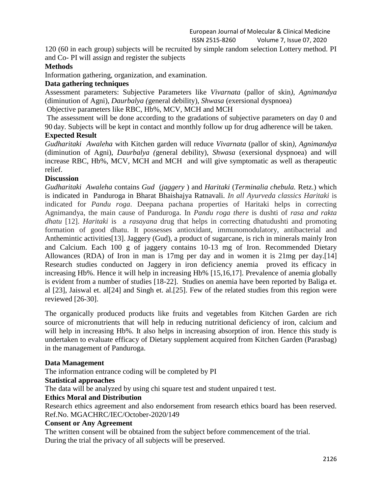120 (60 in each group) subjects will be recruited by simple random selection Lottery method. PI and Co- PI will assign and register the subjects

## **Methods**

Information gathering, organization, and examination.

#### **Data gathering techniques**

Assessment parameters: Subjective Parameters like *Vivarnata* (pallor of skin*), Agnimandya*  (diminution of Agni), *Daurbalya (*general debility), *Shwasa* (exersional dyspnoea)

Objective parameters like RBC, Hb%, MCV, MCH and MCH

The assessment will be done according to the gradations of subjective parameters on day 0 and 90 day. Subjects will be kept in contact and monthly follow up for drug adherence will be taken.

# **Expected Result**

*Gudharitaki Awaleha* with Kitchen garden will reduce *Vivarnata* (pallor of skin*), Agnimandya*  (diminution of Agni), *Daurbalya (*general debility), *Shwasa* (exersional dyspnoea) and will increase RBC, Hb%, MCV, MCH and MCH and will give symptomatic as well as therapeutic relief.

#### **Discussion**

*Gudharitaki Awaleha* contains *Gud* (*jaggery* ) and *Haritaki* (*Terminalia chebula.* Retz.) which is indicated in Panduroga in Bharat Bhaishajya Ratnavali. *In all Ayurveda classics Haritaki* is indicated for *Pandu roga*. Deepana pachana properties of Haritaki helps in correcting Agnimandya, the main cause of Panduroga. In *Pandu roga there* is dushti of *rasa and rakta dhatu* [12]. *Haritaki* is a *rasayana* drug that helps in correcting dhatudushti and promoting formation of good dhatu. It possesses antioxidant, immunomodulatory, antibacterial and Anthemintic activities[13]. Jaggery (Gud), a product of sugarcane, is rich in minerals mainly Iron and Calcium. Each 100 g of jaggery contains 10-13 mg of Iron. Recommended Dietary Allowances (RDA) of Iron in man is 17mg per day and in women it is 21mg per day.[14] Research studies conducted on Jaggery in iron deficiency anemia proved its efficacy in increasing Hb%. Hence it will help in increasing Hb% [15,16,17]. Prevalence of anemia globally is evident from a number of studies [18-22]. Studies on anemia have been reported by Baliga et. al [23], Jaiswal et. al[24] and Singh et. al.[25]. Few of the related studies from this region were reviewed [26-30].

The organically produced products like fruits and vegetables from Kitchen Garden are rich source of micronutrients that will help in reducing nutritional deficiency of iron, calcium and will help in increasing Hb%. It also helps in increasing absorption of iron. Hence this study is undertaken to evaluate efficacy of Dietary supplement acquired from Kitchen Garden (Parasbag) in the management of Panduroga.

#### **Data Management**

The information entrance coding will be completed by PI

#### **Statistical approaches**

The data will be analyzed by using chi square test and student unpaired t test.

## **Ethics Moral and Distribution**

Research ethics agreement and also endorsement from research ethics board has been reserved. Ref.No. MGACHRC/IEC/October-2020/149

#### **Consent or Any Agreement**

The written consent will be obtained from the subject before commencement of the trial. During the trial the privacy of all subjects will be preserved.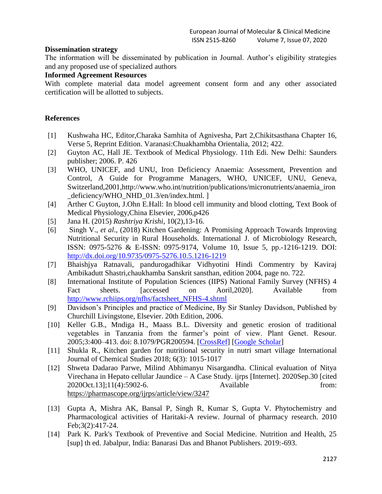#### **Dissemination strategy**

The information will be disseminated by publication in Journal. Author's eligibility strategies and any proposed use of specialized authors

#### **Informed Agreement Resources**

With complete material data model agreement consent form and any other associated certification will be allotted to subjects.

#### **References**

- [1] Kushwaha HC, Editor,Charaka Samhita of Agnivesha, Part 2,Chikitsasthana Chapter 16, Verse 5, Reprint Edition. Varanasi:Chuakhambha Orientalia, 2012; 422.
- [2] Guyton AC, Hall JE. Textbook of Medical Physiology. 11th Edi. New Delhi: Saunders publisher; 2006. P. 426
- [3] WHO, UNICEF, and UNU, Iron Deficiency Anaemia: Assessment, Prevention and Control, A Guide for Programme Managers, WHO, UNICEF, UNU, Geneva, Switzerland,2001,http://www.who.int/nutrition/publications/micronutrients/anaemia\_iron \_deficiency/WHO\_NHD\_01.3/en/index.html. ]
- [4] Arther C Guyton, J.Ohn E.Hall: In blood cell immunity and blood clotting, Text Book of Medical Physiology,China Elsevier, 2006,p426
- [5] Jana H. (2015) *Rashtriya Krishi*, 10(2),13-16.
- [6] Singh V., *et al*., (2018) Kitchen Gardening: A Promising Approach Towards Improving Nutritional Security in Rural Households. International J. of Microbiology Research, ISSN: 0975-5276 & E-ISSN: 0975-9174, Volume 10, Issue 5, pp.-1216-1219. DOI: <http://dx.doi.org/10.9735/0975-5276.10.5.1216-1219>
- [7] Bhaishjya Ratnavali, pandurogadhikar Vidhyotini Hindi Commentry by Kaviraj Ambikadutt Shastri,chaukhamba Sanskrit sansthan, edition 2004, page no. 722.
- [8] International Institute of Population Sciences (IIPS) National Family Survey (NFHS) 4 Fact sheets. [accessed on Aoril, 2020]. Available from [http://www.rchiips.org/nfhs/factsheet\\_NFHS-4.shtml](http://www.rchiips.org/nfhs/factsheet_NFHS-4.shtml)
- [9] Davidson's Principles and practice of Medicine, By Sir Stanley Davidson, Published by Churchill Livingstone, Elsevier. 20th Edition, 2006.
- [10] Keller G.B., Mndiga H., Maass B.L. Diversity and genetic erosion of traditional vegetables in Tanzania from the farmer's point of view. Plant Genet. Resour. 2005;3:400–413. doi: 8.1079/PGR200594. [\[CrossRef\]](https://dx.doi.org/10.1079%2FPGR200594) [\[Google Scholar\]](https://scholar.google.com/scholar_lookup?journal=Plant+Genet.+Resour.&title=Diversity+and+genetic+erosion+of+traditional+vegetables+in+Tanzania+from+the+farmer’s+point+of+view&author=G.B.+Keller&author=H.+Mndiga&author=B.L.+Maass&volume=3&publication_year=2005&pages=400-413&doi=10.1079/PGR200594&)
- [11] Shukla R., Kitchen garden for nutritional security in nutri smart village International Journal of Chemical Studies 2018; 6(3): 1015-1017
- [12] Shweta Dadarao Parwe, Milind Abhimanyu Nisargandha. Clinical evaluation of Nitya Virechana in Hepato cellular Jaundice – A Case Study. ijrps [Internet]. 2020Sep.30 [cited 2020Oct.13];11(4):5902-6. Available from: <https://pharmascope.org/ijrps/article/view/3247>
- [13] Gupta A, Mishra AK, Bansal P, Singh R, Kumar S, Gupta V. Phytochemistry and Pharmacological activities of Haritaki-A review. Journal of pharmacy research. 2010 Feb;3(2):417-24.
- [14] Park K. Park's Textbook of Preventive and Social Medicine. Nutrition and Health, 25 [sup] th ed. Jabalpur, India: Banarasi Das and Bhanot Publishers. 2019:-693.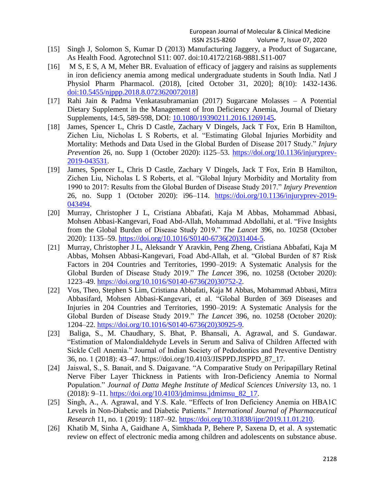- [15] Singh J, Solomon S, Kumar D (2013) Manufacturing Jaggery, a Product of Sugarcane, As Health Food. Agrotechnol S11: 007. doi:10.4172/2168-9881.S11-007
- [16] M S, E S, A M, Meher BR. Evaluation of efficacy of jaggery and raisins as supplements in iron deficiency anemia among medical undergraduate students in South India. Natl J Physiol Pharm Pharmacol. (2018), [cited October 31, 2020]; 8(10): 1432-1436. [doi:10.5455/njppp.2018.8.0723620072018\]](http://dx.doi.org/10.5455/njppp.2018.8.0723620072018)
- [17] Rahi Jain & Padma Venkatasubramanian (2017) Sugarcane Molasses A Potential Dietary Supplement in the Management of Iron Deficiency Anemia, Journal of Dietary Supplements, 14:5, 589-598, DOI: [10.1080/19390211.2016.1269145](https://doi.org/10.1080/19390211.2016.1269145)**.**
- [18] James, Spencer L, Chris D Castle, Zachary V Dingels, Jack T Fox, Erin B Hamilton, Zichen Liu, Nicholas L S Roberts, et al. "Estimating Global Injuries Morbidity and Mortality: Methods and Data Used in the Global Burden of Disease 2017 Study." *Injury Prevention* 26, no. Supp 1 (October 2020): i125–53. [https://doi.org/10.1136/injuryprev-](https://doi.org/10.1136/injuryprev-2019-043531)[2019-043531.](https://doi.org/10.1136/injuryprev-2019-043531)
- [19] James, Spencer L, Chris D Castle, Zachary V Dingels, Jack T Fox, Erin B Hamilton, Zichen Liu, Nicholas L S Roberts, et al. "Global Injury Morbidity and Mortality from 1990 to 2017: Results from the Global Burden of Disease Study 2017." *Injury Prevention* 26, no. Supp 1 (October 2020): i96–114. [https://doi.org/10.1136/injuryprev-2019-](https://doi.org/10.1136/injuryprev-2019-043494) [043494.](https://doi.org/10.1136/injuryprev-2019-043494)
- [20] Murray, Christopher J L, Cristiana Abbafati, Kaja M Abbas, Mohammad Abbasi, Mohsen Abbasi-Kangevari, Foad Abd-Allah, Mohammad Abdollahi, et al. "Five Insights from the Global Burden of Disease Study 2019." *The Lancet* 396, no. 10258 (October 2020): 1135–59. [https://doi.org/10.1016/S0140-6736\(20\)31404-5.](https://doi.org/10.1016/S0140-6736(20)31404-5)
- [21] Murray, Christopher J L, Aleksandr Y Aravkin, Peng Zheng, Cristiana Abbafati, Kaja M Abbas, Mohsen Abbasi-Kangevari, Foad Abd-Allah, et al. "Global Burden of 87 Risk Factors in 204 Countries and Territories, 1990–2019: A Systematic Analysis for the Global Burden of Disease Study 2019." *The Lancet* 396, no. 10258 (October 2020): 1223–49. [https://doi.org/10.1016/S0140-6736\(20\)30752-2.](https://doi.org/10.1016/S0140-6736(20)30752-2)
- [22] Vos, Theo, Stephen S Lim, Cristiana Abbafati, Kaja M Abbas, Mohammad Abbasi, Mitra Abbasifard, Mohsen Abbasi-Kangevari, et al. "Global Burden of 369 Diseases and Injuries in 204 Countries and Territories, 1990–2019: A Systematic Analysis for the Global Burden of Disease Study 2019." *The Lancet* 396, no. 10258 (October 2020): 1204–22. [https://doi.org/10.1016/S0140-6736\(20\)30925-9.](https://doi.org/10.1016/S0140-6736(20)30925-9)
- [23] Baliga, S., M. Chaudhary, S. Bhat, P. Bhansali, A. Agrawal, and S. Gundawar. "Estimation of Malondialdehyde Levels in Serum and Saliva of Children Affected with Sickle Cell Anemia." Journal of Indian Society of Pedodontics and Preventive Dentistry 36, no. 1 (2018): 43–47. https://doi.org/10.4103/JISPPD.JISPPD\_87\_17.
- [24] Jaiswal, S., S. Banait, and S. Daigavane. "A Comparative Study on Peripapillary Retinal Nerve Fiber Layer Thickness in Patients with Iron-Deficiency Anemia to Normal Population." *Journal of Datta Meghe Institute of Medical Sciences University* 13, no. 1 (2018): 9–11. [https://doi.org/10.4103/jdmimsu.jdmimsu\\_82\\_17.](https://doi.org/10.4103/jdmimsu.jdmimsu_82_17)
- [25] Singh, A., A. Agrawal, and Y.S. Kale. "Effects of Iron Deficiency Anemia on HBA1C Levels in Non-Diabetic and Diabetic Patients." *International Journal of Pharmaceutical Research* 11, no. 1 (2019): 1187–92. [https://doi.org/10.31838/ijpr/2019.11.01.210.](https://doi.org/10.31838/ijpr/2019.11.01.210)
- [26] Khatib M, Sinha A, Gaidhane A, Simkhada P, Behere P, Saxena D, et al. A systematic review on effect of electronic media among children and adolescents on substance abuse.